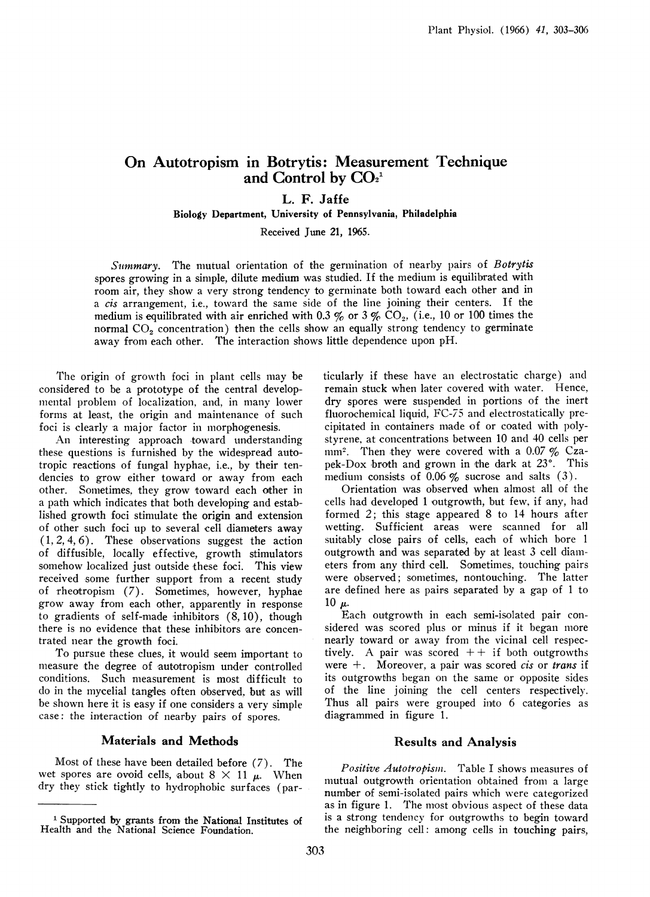# On Autotropism in Botrytis: Measurement Technique and Control by  $CO<sub>2</sub><sup>1</sup>$

L. F. Jaffe

Biology Department, University of Pennsylvania, Philadelphia

Received June 21, 1965.

Summary. The mutual orientation of the germination of nearby pairs of Botrytis spores growing in a simple, dilute medium was studied. If the medium is equilibrated with room air, they show a very strong tendency to germinate both toward each other and in a cis arrangement, i.e., toward the same side of the line joining their centers. If the medium is equilibrated with air enriched with 0.3 % or 3 %  $CO<sub>2</sub>$ , (i.e., 10 or 100 times the normal CO<sub>2</sub> concentration) then the cells show an equally strong tendency to germinate away from each other. The interaction shows little dependence upon pH.

The origin of growth foci in plant cells may be considered to be a prototype of the central developmental problem of localization, and, in many lower forms at least, the origin and maintenance of such foci is clearly a major factor in morphogenesis.

An interesting approach toward understanding these questions is furnished by the widespread autotropic reactions of fungal hyphae, i.e., by their tendencies to grow either toward or away from each other. Sometimes, they grow toward each other in a path which indicates that both developing and established growth foci stimulate the origin and extension of other such foci up to several cell diameters away (1, 2, 4, 6). These observations suggest the action of diffusible, locally effective, growth stimulators somehow localized just outside these foci. This view received some further support from a recent study of rheotropism (7). Sometimes, however, hyphae grow away from each other, apparently in response to gradients of self-made inhibitors (8, 10), though there is no evidence that these inhibitors are concentrated near the growth foci.

To pursue these clues, it would seem important to measure the degree of autotropism under controlled conditions. Such measurement is most difficult to do in the mycelial tangles often observed, but as will be shown here it is easy if one considers a very simple case: the interaction of nearby pairs of spores.

#### Materials and Methods

Most of these have been detailed before (7). The wet spores are ovoid cells, about  $8 \times 11$   $\mu$ . When dry they stick tightly to hydrophobic surfaces (particularly if these have an electrostatic charge) and remain stuck when later covered with water. Hence, dry spores were suspended in portions of the inert fluorochemical liquid, FC-75 and electrostatically precipitated in containers made of or coated with polystyrene, at concentrations between 10 and 40 cells per mm<sup>2</sup>. Then they were covered with a 0.07  $\%$  Czapek-Dox broth and grown in the dark at  $23^\circ$ . This medium consists of 0.06  $\%$  sucrose and salts (3).

Orientation was observed when almost all of the cells had developed <sup>1</sup> outgrowth, but few, if any, had formed 2; this stage appeared 8 to 14 hours after wetting. Sufficient areas were scanned for all suitably close pairs of cells, each of which bore <sup>1</sup> outgrowth and was separated by at least 3 cell diameters from any third cell. Sometimes, touching pairs were observed; sometimes, nontouching. The latter are defined here as pairs separated by a gap of <sup>1</sup> to 10  $\mu$ .

Each outgrowth in each semi-isolated pair considered was scored plus or minus if it began more nearly toward or away from the vicinal cell respectively. A pair was scored  $++$  if both outgrowths were  $+$ . Moreover, a pair was scored *cis* or *trans* if its outgrowths began on the same or opposite sides of the line joining the cell centers respectively. Thus all pairs were grouped inito 6 categories as diagrammed in figure 1.

### Results and Analysis

Positive Autotropism. Table I shows measures of mutual outgrowth orientation obtained from a large number of semi-isolated pairs which were categorized as in figure 1. The most obvious aspect of these data is a strong tendency for outgrowths to begin toward the neighboring cell: among cells in touching pairs,

<sup>&</sup>lt;sup>1</sup> Supported by grants from the National Institutes of Health and the National Science Foundation.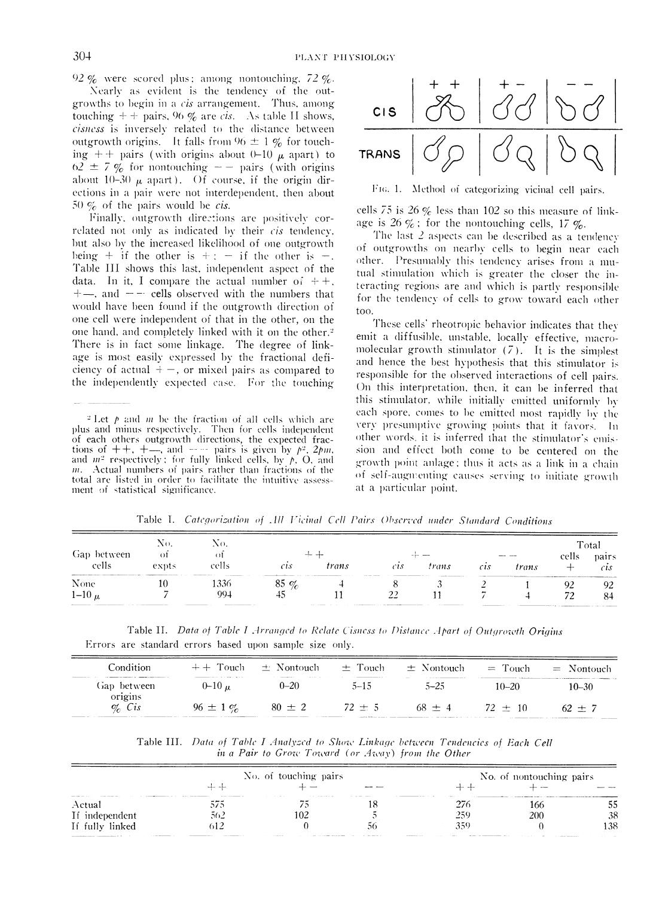92  $\%$  were scored plus; among nontouching, 72  $\%$ .

Nearly as evident is the tendency of the outgrowths to begin in a *cis* arrangement. Thus, among touching  $+$  + pairs, 96 % are *cis*. As table II shows, cisness is inversely related to the distance between outgrowth origins. It falls from  $96 \pm 1 \%$  for touching ++ pairs (with origins about 0-10  $\mu$  apart) to  $62 \pm 7$  % for nontouching  $-$  pairs (with origins about 10-30  $\mu$  apart). Of course, if the origin directions in a pair were not interdependent, then about 50  $\%$  of the pairs would be *cis*.

Finally, outgrowth directions are positively correlated not only as indicated by their cis tendency, but also by the increased likelihood of one outgrowth being + if the other is + : - if the other is -. Table III shows this last, independent aspect of the data. In it, I compare the actual number of  $++$ .  $+$ , and  $-$  cells observed with the numbers that would have been found if the outgrowth direction of one cell were independent of that in the other, on the one hand, and completely linked with it on the other.<sup>2</sup> There is in fact some linkage. The degree of linkage is most easily expressed by the fractional deficiency of actual  $+$  –, or mixed pairs as compared to the independently expected case. For the touching

<sup>2</sup> Let  $p$  and  $m$  be the fraction of all cells which are plus and minus respectively. Then for cells independent of each others outgrowth directions, the expected fractions of  $++$ ,  $+-$ , and  $--$  pairs is given by  $p^2$ .  $2pm$ ,<br>and  $m^2$  respectively; for fully linked cells, by p, O, and  $m$ . Actual numbers of pairs rather than fractions of the total are listed in order to facilitate the intuitive assessment of statistical significance.



FIG. 1. Method of categorizing vicinal cell pairs.

cells 75 is 26  $\%$  less than 102 so this measure of linkage is 26  $\%$ ; for the nontouching cells, 17  $\%$ .

The last  $2$  aspects can be described as a tendency of outgrowths on nearby cells to begin near each other. Presumably this tendency arises from a mutual stimulation which is greater the closer the interacting regions are and which is partly responsible for the tendency of cells to grow toward each other too.

These cells' rheotropic behavior indicates that they emit a diffusible, unstable, locally effective, macromolecular growth stimulator  $(7)$ . It is the simplest and hence the best hypothesis that this stimulator is responsible for the observed interactions of cell pairs. On this interpretation, then, it can be inferred that this stimulator, while initially emitted uniformly by each spore, comes to be emitted most rapidly by the very presumptive growing points that it favors. In other words, it is inferred that the stimulator's emission and effect both come to be centered on the growth point anlage; thus it acts as a link in a chain of self-augmenting causes serving to initiate growth at a particular point.

| between<br>Gap | $\mathcal{N}^{\left(1\right)}$ |                                                               |                |       |                                                                                                                                                                                                                               |                                                       |                                     |                                                                                                                                                                                                                                | Total |        |
|----------------|--------------------------------|---------------------------------------------------------------|----------------|-------|-------------------------------------------------------------------------------------------------------------------------------------------------------------------------------------------------------------------------------|-------------------------------------------------------|-------------------------------------|--------------------------------------------------------------------------------------------------------------------------------------------------------------------------------------------------------------------------------|-------|--------|
|                | -ot                            | -01                                                           |                |       |                                                                                                                                                                                                                               |                                                       |                                     |                                                                                                                                                                                                                                | cells | pairs. |
| cells          | expts                          | cells                                                         | $\overline{c}$ | trans | cıs                                                                                                                                                                                                                           | trans                                                 | $\mathcal{C}\mathcal{L}\mathcal{S}$ | trans                                                                                                                                                                                                                          |       | CIS.   |
| None           |                                | THE R. P. LEWIS CO., LANSING, MICH. 49-14039-1-120-2<br>1336- | $85\%$         |       | the property of the company's company's property of the company's property of the company's property of the company's property of the company's property of the company's property of the company's property of the company's | the company of the company of the control of the con- | <b>CONTRACTOR</b>                   | The first constitution of the company of the company of the company of the company of the company of the company of the company of the company of the company of the company of the company of the company of the company of t | YZ    | 92     |
| $1-10 \mu$     |                                | 99.1                                                          | 45             |       |                                                                                                                                                                                                                               |                                                       |                                     |                                                                                                                                                                                                                                |       | 84     |

Table I. Categorization of All Vicinal Cell Pairs Observed under Standard Conditions

Table II. Data of Table I Arranged to Relate Cisness to Distance Apart of Outgrowth Origins Errors are standard errors based upon sample size only.

| Condition              | $+ +$ Touch  | $\pm$ Nontouch<br>-------<br>. | $\pm$ Touch<br>_______ | $\pm$ Nontouch                                                                                                                                                                                                                             | $=$ Touch | $=$ Nontouch       |
|------------------------|--------------|--------------------------------|------------------------|--------------------------------------------------------------------------------------------------------------------------------------------------------------------------------------------------------------------------------------------|-----------|--------------------|
| Gap between<br>origins | 0–10 µ       | $0 - 20$                       | 5–15                   | $5 - 25$                                                                                                                                                                                                                                   | 10–20     | 10–30              |
| $\%$ Cis               | $96 \pm 1\%$ | $80 \pm 2$                     | $72 \pm 5$             | $68 + 4$<br>The Company and Company of Company and Company and Company and Company and Company and Company and Company and Company and Company and Company and Company and Company and Company and Company and Company and Company and Com | $72 + 10$ | $62 + 7$<br>______ |

Table III. Data of Table I Analyzed to Show Linkage between Tendencies of Each Cell in a Pair to Grow Toward (or Away) from the Other

|                 |              | No. of touching pairs |                     | No. of nontouching pairs |     |     |  |
|-----------------|--------------|-----------------------|---------------------|--------------------------|-----|-----|--|
|                 |              |                       |                     |                          |     |     |  |
| Actual          | ---<br>J / J | .                     | 11 = 10 1 = 10 = 11 | 276                      | 166 |     |  |
| If independent  | 562          | 102                   |                     | -250                     | 200 | 38  |  |
| If fully linked | 512          |                       |                     | 350                      |     | 138 |  |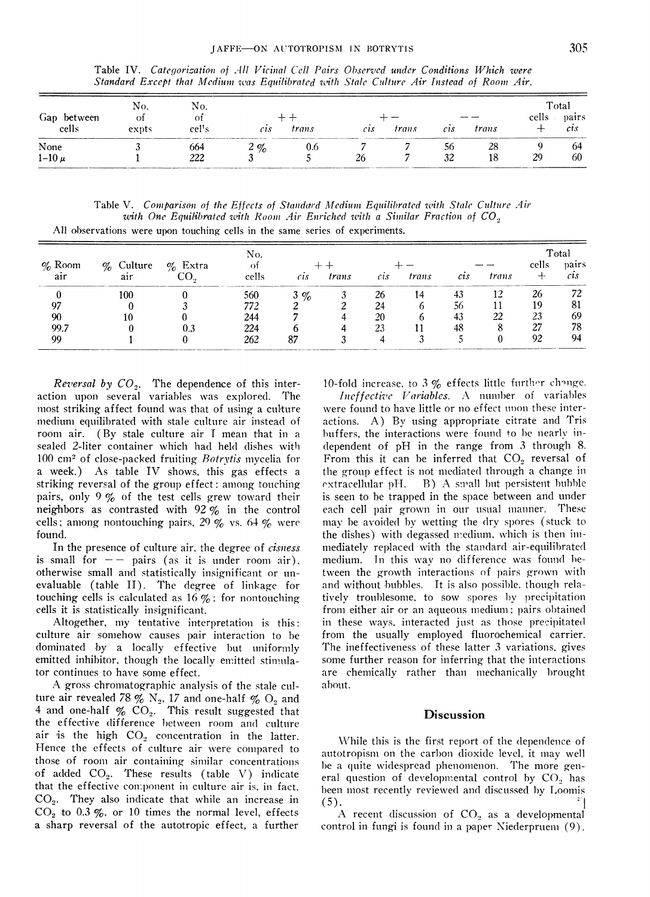|                      | Standard Except that Medium was Equilibrated with Stale Culture Air Instead of Room Air. |              |                    |       |                                        |              |          |          |       |                                    |
|----------------------|------------------------------------------------------------------------------------------|--------------|--------------------|-------|----------------------------------------|--------------|----------|----------|-------|------------------------------------|
| Gap between<br>cells | No.<br>Οt<br>expts                                                                       | No.<br>cel's | $\mathcal{C}$ t.s. | trans | $\mathfrak{c}\mathfrak{l}\mathfrak{s}$ | <i>trans</i> | $c_{1S}$ | trans    | cells | Total<br>pairs<br>$\mathcal{C}$ 15 |
| None<br>$1-10 \mu$   |                                                                                          | 664<br>222   | $2\%$              | 0.6   |                                        |              | 56<br>32 | 28<br>18 | 29    | b4<br>60                           |

Table IV. Categorization of All Vicinal Cell Pairs Observed under Conditions Which were

Table V. Comparison of the Effects of Standard Medium Equilibrated with Stale Culture Air with One Equilibrated with Room Air Enriched with a Similar Fraction of  $CO_{\frac{3}{2}}$ All observations were upon touching cells in the same series of experiments.

|           |              |            | No.   |                |       |                                        |              |                            |       | Total |               |
|-----------|--------------|------------|-------|----------------|-------|----------------------------------------|--------------|----------------------------|-------|-------|---------------|
| $\%$ Room | $\%$ Culture | $\%$ Extra | Ωt    |                |       |                                        |              |                            |       | cells | pairs         |
| air       | air          |            | cells | $\overline{c}$ | trans | $\mathfrak{c}\mathfrak{c}\mathfrak{s}$ | <i>trans</i> | $\mathfrak{c}\mathfrak{s}$ | trans |       | $\mathcal{C}$ |
|           | 100          |            | 560   | $3\%$          |       | 26                                     |              |                            |       | 26    | 72            |
| 97        |              |            | 772   |                |       | 24                                     |              | 56                         |       |       | 81            |
| 90        |              |            | 244   |                |       | 20                                     |              |                            | 22    | 23    | 69            |
| 99.7      |              |            | 224   |                |       | 23                                     |              |                            |       |       | 78            |
| 99        |              |            | 262   |                |       |                                        |              |                            |       | 92    | 94            |

*Reversal by*  $CO<sub>2</sub>$ *.* The dependence of this interaction upon several variables was explored. The most striking affect found was that of using a culture medium equilibrated with stale culture air instead of room air. (By stale culture air I mean that in a sealed 2-liter container which had held dishes with 100 cm<sup>2</sup> of close-packed fruiting Botrytis mycelia for a week.) As table IV shows, this gas effects a striking reversal of the group effect: among touching pairs, only  $9\%$  of the test cells grew toward their neighbors as contrasted with  $92\%$  in the control cells; among nontouching pairs, 29 % vs. 64 % were found.

In the presence of culture air, the degree of *cisness* is small for  $-$  pairs (as it is under room air). otherwise small and statistically insignificant or unevaluable (table II). The degree of linkage for touching cells is calculated as  $16\%$ ; for nontouching cells it is statistically insignificant.

Altogether, my tentative interpretation is this: culture air somehow causes pair interaction to be dominated by a locally effective but uniformly emitted inhibitor, though the locally emitted stimulator continues to have some effect.

A gross chromatographic analysis of the stale culture air revealed 78  $\%$  N<sub>2</sub>, 17 and one-half  $\%$  O<sub>2</sub> and 4 and one-half  $\%$  CO<sub>2</sub>. This result suggested that the effective difference between room and culture air is the high  $CO<sub>2</sub>$  concentration in the latter. Hence the effects of culture air were compared to those of room air containing similar concentrations of added  $CO<sub>2</sub>$ . These results (table V) indicate that the effective component in culture air is, in fact,  $CO<sub>2</sub>$ . They also indicate that while an increase in  $CO<sub>2</sub>$  to 0.3 %, or 10 times the normal level, effects a sharp reversal of the autotropic effect, a further 10-fold increase, to  $3\%$  effects little further change.

Ineffective Variables. A number of variables were found to have little or no effect upon these interactions. A) By using appropriate citrate and Tris buffers, the interactions were found to be nearly independent of pH in the range from 3 through 8. From this it can be inferred that CO<sub>2</sub> reversal of the group effect is not mediated through a change in  $extrac{dular pH.}$  B) A small but persistent bubble is seen to be trapped in the space between and under each cell pair grown in our usual manner. These may be avoided by wetting the dry spores (stuck to the dishes) with degassed medium, which is then immediately replaced with the standard air-equilibrated medium. In this way no difference was found between the growth interactions of pairs grown with and without bubbles. It is also possible, though relatively troublesome, to sow spores by precipitation from either air or an aqueous medium; pairs obtained in these ways, interacted just as those precipitated from the usually employed fluorochemical carrier. The ineffectiveness of these latter 3 variations, gives some further reason for inferring that the interactions are chemically rather than mechanically brought about.

#### Discussion

While this is the first report of the dependence of autotropism on the carbon dioxide level, it may well be a quite widespread phenomenon. The more general question of developmental control by CO<sub>2</sub> has been most recently reviewed and discussed by Loomis  $(5).$ 

A recent discussion of CO<sub>2</sub> as a developmental control in fungi is found in a paper Niederpruem (9).